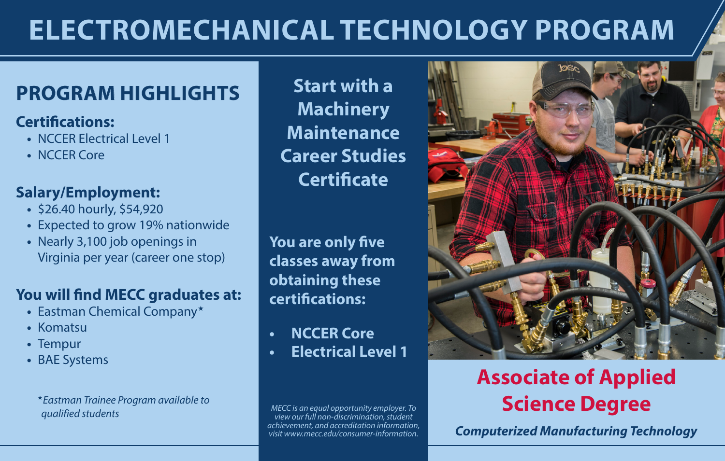# **ELECTROMECHANICAL TECHNOLOGY PROGRAM**

# **PROGRAM HIGHLIGHTS** Start with a

### **Certifications:**

- **•** NCCER Electrical Level 1
- **•** NCCER Core

## **Salary/Employment:**

- **•** \$26.40 hourly, \$54,920
- **•** Expected to grow 19% nationwide
- **•** Nearly 3,100 job openings in Virginia per year (career one stop)

## **You will find MECC graduates at:**

- **•** Eastman Chemical Company«
- **•** Komatsu
- **•** Tempur
- **•** BAE Systems

«*Eastman Trainee Program available to qualified students*

**Machinery Maintenance Career Studies Certificate** 

**You are only five classes away from obtaining these certifications:**

- **• NCCER Core**
- **• Electrical Level 1**

*MECC is an equal opportunity employer. To view our full non-discrimination, student achievement, and accreditation information, visit www.mecc.edu/consumer-information.*



# **Associate of Applied Science Degree**

*Computerized Manufacturing Technology*